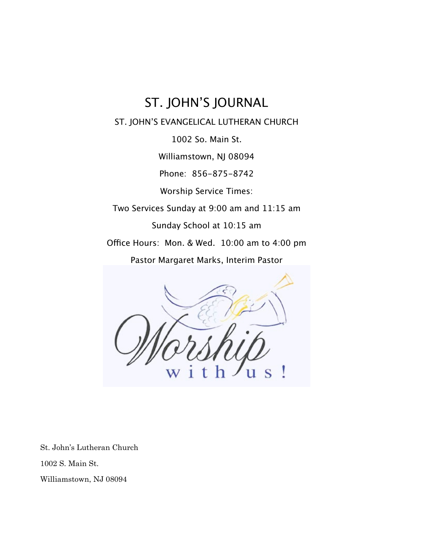## ST. JOHN'S JOURNAL

ST. JOHN'S EVANGELICAL LUTHERAN CHURCH

1002 So. Main St.

Williamstown, NJ 08094

Phone: 856-875-8742

Worship Service Times:

Two Services Sunday at 9:00 am and 11:15 am

Sunday School at 10:15 am

Office Hours: Mon. & Wed. 10:00 am to 4:00 pm

Pastor Margaret Marks, Interim Pastor



St. John's Lutheran Church

1002 S. Main St.

Williamstown, NJ 08094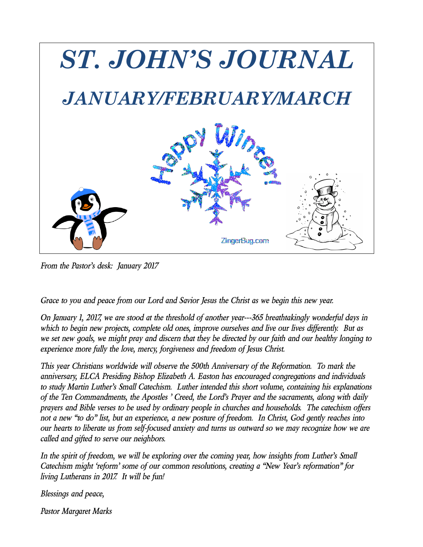

*From the Pastor's desk:!!January 2017*

*Grace to you and peace from our Lord and Savior Jesus the Christ as we begin this new year.*

*On January 1, 2017, we are stood at the threshold of another year---365 breathtakingly wonderful days in* which to begin new projects, complete old ones, improve ourselves and live our lives differently. But as we set new goals, we might pray and discern that they be directed by our faith and our healthy longing to *experience more fully the love, mercy, forgiveness and freedom of Jesus Christ.*

*This year Christians worldwide will observe the 500th Anniversary of the Reformation.!!To mark the anniversary, ELCA Presiding Bishop Elizabeth A. Easton has encouraged congregations and individuals to study Martin Luther's Small Catechism.!!Luther intended this short volume, containing his explanations of the Ten Commandments, the Apostles ' Creed, the Lord's Prayer and the sacraments, along with daily* prayers and Bible verses to be used by ordinary people in churches and households. The catechism offers not a new "to do" list, but an experience, a new posture of freedom. In Christ, God gently reaches into our hearts to liberate us from self-focused anxiety and turns us outward so we may recognize how we are *called and gifted to serve our neighbors.!!*

In the spirit of freedom, we will be exploring over the coming year, how insights from Luther's Small *Catechism might 'reform' some of our common resolutions, creating a "New Year's reformation" for living Lutherans in 2017.!!It will be fun!*

*Blessings and peace,*

*Pastor Margaret Marks*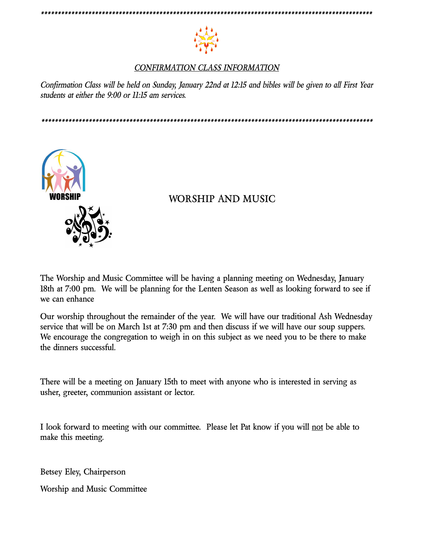

#### CONFIRMATION CLASS INFORMATION

Confirmation Class will be held on Sunday, January 22nd at 12:15 and bibles will be given to all First Year students at either the 9:00 or 11:15 am services.



#### WORSHIP AND MUSIC

The Worship and Music Committee will be having a planning meeting on Wednesday, January 18th at 7:00 pm. We will be planning for the Lenten Season as well as looking forward to see if we can enhance

Our worship throughout the remainder of the year. We will have our traditional Ash Wednesday service that will be on March 1st at 7:30 pm and then discuss if we will have our soup suppers. We encourage the congregation to weigh in on this subject as we need you to be there to make the dinners successful.

There will be a meeting on January 15th to meet with anyone who is interested in serving as usher, greeter, communion assistant or lector.

I look forward to meeting with our committee. Please let Pat know if you will not be able to make this meeting.

Betsey Eley, Chairperson

**Worship and Music Committee**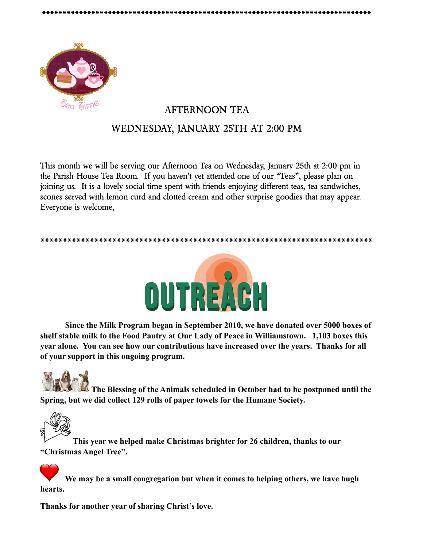

### **! ! AFTERNOON TEA WEDNESDAY, JANUARY 25TH AT 2:00 PM**

**\*\*\*\*\*\*\*\*\*\*\*\*\*\*\*\*\*\*\*\*\*\*\*\*\*\*\*\*\*\*\*\*\*\*\*\*\*\*\*\*\*\*\*\*\*\*\*\*\*\*\*\*\*\*\*\*\*\*\*\*\*\*\*\*\*\*\*\*\*\*\*\*\*\*\*\*\*\*\*\***

**This month we will be serving our Afternoon Tea on Wednesday, January 25th at 2:00 pm in the Parish House Tea Room.!!If you haven't yet attended one of our "Teas", please plan on joining us.!!It is a lovely social time spent with friends enjoying different teas, tea sandwiches, scones served with lemon curd and clotted cream and other surprise goodies that may appear.!! Everyone is welcome,**





 **Since the Milk Program began in September 2010, we have donated over 5000 boxes of shelf stable milk to the Food Pantry at Our Lady of Peace in Williamstown. 1,103 boxes this year alone. You can see how our contributions have increased over the years. Thanks for all of your support in this ongoing program.**



**The Blessing of the Animals scheduled in October had to be postponed until the Spring, but we did collect 129 rolls of paper towels for the Humane Society.**



**This year we helped make Christmas brighter for 26 children, thanks to our "Christmas Angel Tree".**

 **We may be a small congregation but when it comes to helping others, we have hugh hearts.**

**Thanks for another year of sharing Christ's love.**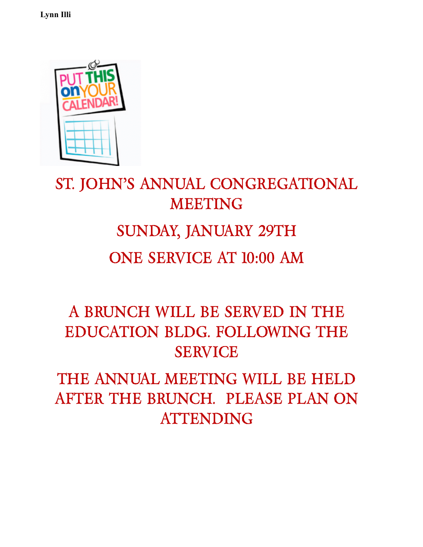**Lynn Illi**



# **ST. JOHN'S ANNUAL CONGREGATIONAL MEETING SUNDAY, JANUARY 29TH ONE SERVICE AT 10:00 AM**

# **A BRUNCH WILL BE SERVED IN THE EDUCATION BLDG. FOLLOWING THE SERVICE**

**THE ANNUAL MEETING WILL BE HELD AFTER THE BRUNCH.!!PLEASE PLAN ON ATTENDING**